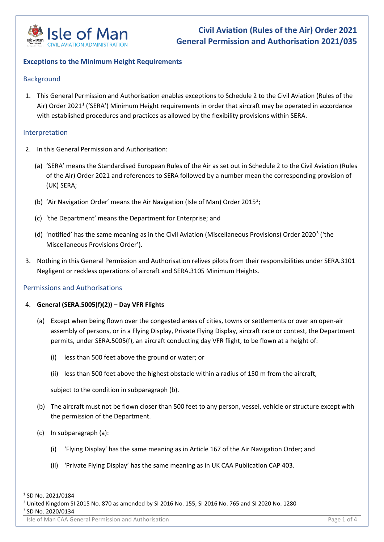

### **Exceptions to the Minimum Height Requirements**

#### Background

1. This General Permission and Authorisation enables exceptions to Schedule 2 to the Civil Aviation (Rules of the Air) Order 2021<sup>1</sup> ('SERA') Minimum Height requirements in order that aircraft may be operated in accordance with established procedures and practices as allowed by the flexibility provisions within SERA.

#### Interpretation

- 2. In this General Permission and Authorisation:
	- (a) 'SERA' means the Standardised European Rules of the Air as set out in Schedule 2 to the Civil Aviation (Rules of the Air) Order 2021 and references to SERA followed by a number mean the corresponding provision of (UK) SERA;
	- (b) 'Air Navigation Order' means the Air Navigation (Isle of Man) Order [2](#page-0-1)015<sup>2</sup>;
	- (c) 'the Department' means the Department for Enterprise; and
	- (d) 'notified' has the same meaning as in the Civil Aviation (Miscellaneous Provisions) Order 2020<sup>[3](#page-0-2)</sup> ('the Miscellaneous Provisions Order').
- 3. Nothing in this General Permission and Authorisation relives pilots from their responsibilities under SERA.3101 Negligent or reckless operations of aircraft and SERA.3105 Minimum Heights.

#### Permissions and Authorisations

#### 4. **General (SERA.5005(f)(2)) – Day VFR Flights**

- (a) Except when being flown over the congested areas of cities, towns or settlements or over an open-air assembly of persons, or in a Flying Display, Private Flying Display, aircraft race or contest, the Department permits, under SERA.5005(f), an aircraft conducting day VFR flight, to be flown at a height of:
	- (i) less than 500 feet above the ground or water; or
	- (ii) less than 500 feet above the highest obstacle within a radius of 150 m from the aircraft,

subject to the condition in subparagraph (b).

- (b) The aircraft must not be flown closer than 500 feet to any person, vessel, vehicle or structure except with the permission of the Department.
- (c) In subparagraph (a):
	- (i) 'Flying Display' has the same meaning as in Article 167 of the Air Navigation Order; and
	- (ii) 'Private Flying Display' has the same meaning as in UK CAA Publication CAP 403.

Isle of Man CAA General Permission and Authorisation **Page 1 of 4** and 2014 and 2014 and 2014 and 2014 and 2014

<span id="page-0-0"></span><sup>&</sup>lt;sup>1</sup> SD No. 2021/0184

<span id="page-0-2"></span><span id="page-0-1"></span><sup>&</sup>lt;sup>2</sup> United Kingdom SI 2015 No. 870 as amended by SI 2016 No. 155, SI 2016 No. 765 and SI 2020 No. 1280 <sup>3</sup> SD No. 2020/0134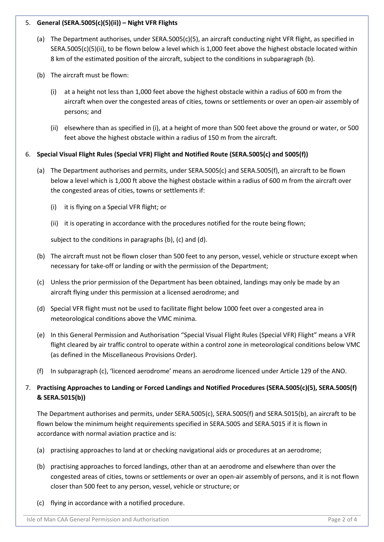### 5. **General (SERA.5005(c)(5)(ii)) – Night VFR Flights**

- (a) The Department authorises, under SERA.5005(c)(5), an aircraft conducting night VFR flight, as specified in SERA.5005(c)(5)(ii), to be flown below a level which is 1,000 feet above the highest obstacle located within 8 km of the estimated position of the aircraft, subject to the conditions in subparagraph (b).
- (b) The aircraft must be flown:
	- (i) at a height not less than 1,000 feet above the highest obstacle within a radius of 600 m from the aircraft when over the congested areas of cities, towns or settlements or over an open-air assembly of persons; and
	- (ii) elsewhere than as specified in (i), at a height of more than 500 feet above the ground or water, or 500 feet above the highest obstacle within a radius of 150 m from the aircraft.

## 6. **Special Visual Flight Rules (Special VFR) Flight and Notified Route (SERA.5005(c) and 5005(f))**

- (a) The Department authorises and permits, under SERA.5005(c) and SERA.5005(f), an aircraft to be flown below a level which is 1,000 ft above the highest obstacle within a radius of 600 m from the aircraft over the congested areas of cities, towns or settlements if:
	- (i) it is flying on a Special VFR flight; or
	- (ii) it is operating in accordance with the procedures notified for the route being flown;

subject to the conditions in paragraphs (b), (c) and (d).

- (b) The aircraft must not be flown closer than 500 feet to any person, vessel, vehicle or structure except when necessary for take-off or landing or with the permission of the Department;
- (c) Unless the prior permission of the Department has been obtained, landings may only be made by an aircraft flying under this permission at a licensed aerodrome; and
- (d) Special VFR flight must not be used to facilitate flight below 1000 feet over a congested area in meteorological conditions above the VMC minima.
- (e) In this General Permission and Authorisation "Special Visual Flight Rules (Special VFR) Flight" means a VFR flight cleared by air traffic control to operate within a control zone in meteorological conditions below VMC (as defined in the Miscellaneous Provisions Order).
- (f) In subparagraph (c), 'licenced aerodrome' means an aerodrome licenced under Article 129 of the ANO.

# 7. **Practising Approaches to Landing or Forced Landings and Notified Procedures (SERA.5005(c)(5), SERA.5005(f) & SERA.5015(b))**

The Department authorises and permits, under SERA.5005(c), SERA.5005(f) and SERA.5015(b), an aircraft to be flown below the minimum height requirements specified in SERA.5005 and SERA.5015 if it is flown in accordance with normal aviation practice and is:

- (a) practising approaches to land at or checking navigational aids or procedures at an aerodrome;
- (b) practising approaches to forced landings, other than at an aerodrome and elsewhere than over the congested areas of cities, towns or settlements or over an open-air assembly of persons, and it is not flown closer than 500 feet to any person, vessel, vehicle or structure; or
- (c) flying in accordance with a notified procedure.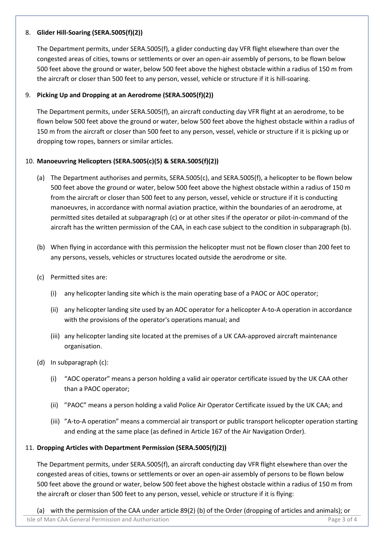### 8. **Glider Hill-Soaring (SERA.5005(f)(2))**

The Department permits, under SERA.5005(f), a glider conducting day VFR flight elsewhere than over the congested areas of cities, towns or settlements or over an open-air assembly of persons, to be flown below 500 feet above the ground or water, below 500 feet above the highest obstacle within a radius of 150 m from the aircraft or closer than 500 feet to any person, vessel, vehicle or structure if it is hill-soaring.

#### 9. **Picking Up and Dropping at an Aerodrome (SERA.5005(f)(2))**

The Department permits, under SERA.5005(f), an aircraft conducting day VFR flight at an aerodrome, to be flown below 500 feet above the ground or water, below 500 feet above the highest obstacle within a radius of 150 m from the aircraft or closer than 500 feet to any person, vessel, vehicle or structure if it is picking up or dropping tow ropes, banners or similar articles.

#### 10. **Manoeuvring Helicopters (SERA.5005(c)(5) & SERA.5005(f)(2))**

- (a) The Department authorises and permits, SERA.5005(c), and SERA.5005(f), a helicopter to be flown below 500 feet above the ground or water, below 500 feet above the highest obstacle within a radius of 150 m from the aircraft or closer than 500 feet to any person, vessel, vehicle or structure if it is conducting manoeuvres, in accordance with normal aviation practice, within the boundaries of an aerodrome, at permitted sites detailed at subparagraph (c) or at other sites if the operator or pilot-in-command of the aircraft has the written permission of the CAA, in each case subject to the condition in subparagraph (b).
- (b) When flying in accordance with this permission the helicopter must not be flown closer than 200 feet to any persons, vessels, vehicles or structures located outside the aerodrome or site.
- (c) Permitted sites are:
	- (i) any helicopter landing site which is the main operating base of a PAOC or AOC operator;
	- (ii) any helicopter landing site used by an AOC operator for a helicopter A-to-A operation in accordance with the provisions of the operator's operations manual; and
	- (iii) any helicopter landing site located at the premises of a UK CAA-approved aircraft maintenance organisation.
- (d) In subparagraph (c):
	- (i) "AOC operator" means a person holding a valid air operator certificate issued by the UK CAA other than a PAOC operator;
	- (ii) "PAOC" means a person holding a valid Police Air Operator Certificate issued by the UK CAA; and
	- (iii) "A-to-A operation" means a commercial air transport or public transport helicopter operation starting and ending at the same place (as defined in Article 167 of the Air Navigation Order).

#### 11. **Dropping Articles with Department Permission (SERA.5005(f)(2))**

The Department permits, under SERA.5005(f), an aircraft conducting day VFR flight elsewhere than over the congested areas of cities, towns or settlements or over an open-air assembly of persons to be flown below 500 feet above the ground or water, below 500 feet above the highest obstacle within a radius of 150 m from the aircraft or closer than 500 feet to any person, vessel, vehicle or structure if it is flying:

(a) with the permission of the CAA under article 89(2) (b) of the Order (dropping of articles and animals); or